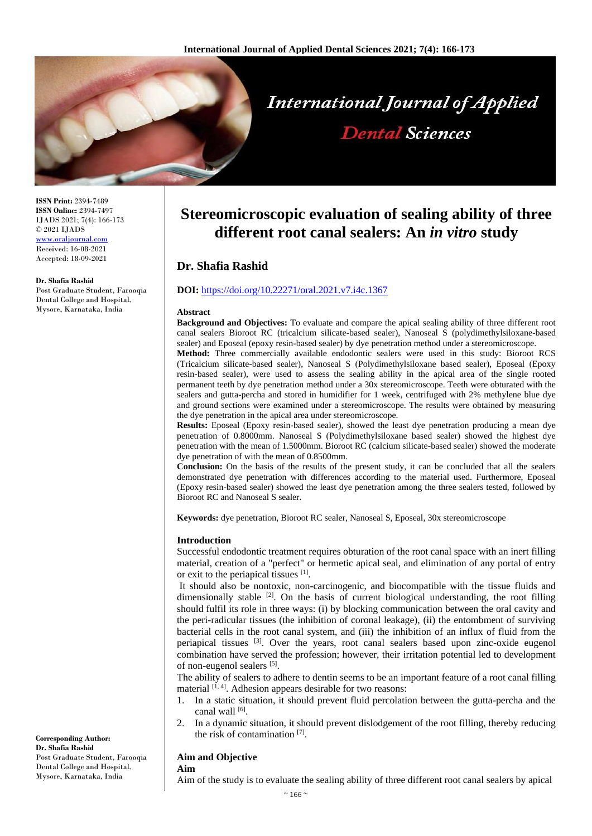

**ISSN Print:** 2394-7489 **ISSN Online:** 2394-7497 IJADS 2021; 7(4): 166-173 © 2021 IJADS <www.oraljournal.com> Received: 16-08-2021 Accepted: 18-09-2021

#### **Dr. Shafia Rashid**

Post Graduate Student, Farooqia Dental College and Hospital, Mysore, Karnataka, India

# **Stereomicroscopic evaluation of sealing ability of three different root canal sealers: An** *in vitro* **study**

**Dental Sciences** 

# **Dr. Shafia Rashid**

# **DOI:** <https://doi.org/10.22271/oral.2021.v7.i4c.1367>

#### **Abstract**

**Background and Objectives:** To evaluate and compare the apical sealing ability of three different root canal sealers Bioroot RC (tricalcium silicate-based sealer), Nanoseal S (polydimethylsiloxane-based sealer) and Eposeal (epoxy resin-based sealer) by dye penetration method under a stereomicroscope.

**Method:** Three commercially available endodontic sealers were used in this study: Bioroot RCS (Tricalcium silicate-based sealer), Nanoseal S (Polydimethylsiloxane based sealer), Eposeal (Epoxy resin-based sealer), were used to assess the sealing ability in the apical area of the single rooted permanent teeth by dye penetration method under a 30x stereomicroscope. Teeth were obturated with the sealers and gutta-percha and stored in humidifier for 1 week, centrifuged with 2% methylene blue dye and ground sections were examined under a stereomicroscope. The results were obtained by measuring the dye penetration in the apical area under stereomicroscope.

**Results:** Eposeal (Epoxy resin-based sealer), showed the least dye penetration producing a mean dye penetration of 0.8000mm. Nanoseal S (Polydimethylsiloxane based sealer) showed the highest dye penetration with the mean of 1.5000mm. Bioroot RC (calcium silicate-based sealer) showed the moderate dye penetration of with the mean of 0.8500mm.

**Conclusion:** On the basis of the results of the present study, it can be concluded that all the sealers demonstrated dye penetration with differences according to the material used. Furthermore, Eposeal (Epoxy resin-based sealer) showed the least dye penetration among the three sealers tested, followed by Bioroot RC and Nanoseal S sealer.

**Keywords:** dye penetration, Bioroot RC sealer, Nanoseal S, Eposeal, 30x stereomicroscope

#### **Introduction**

Successful endodontic treatment requires obturation of the root canal space with an inert filling material, creation of a "perfect" or hermetic apical seal, and elimination of any portal of entry or exit to the periapical tissues [1].

It should also be nontoxic, non-carcinogenic, and biocompatible with the tissue fluids and dimensionally stable <sup>[2]</sup>. On the basis of current biological understanding, the root filling should fulfil its role in three ways: (i) by blocking communication between the oral cavity and the peri-radicular tissues (the inhibition of coronal leakage), (ii) the entombment of surviving bacterial cells in the root canal system, and (iii) the inhibition of an influx of fluid from the periapical tissues  $[3]$ . Over the years, root canal sealers based upon zinc-oxide eugenol combination have served the profession; however, their irritation potential led to development of non-eugenol sealers [5].

The ability of sealers to adhere to dentin seems to be an important feature of a root canal filling material [1,4]. Adhesion appears desirable for two reasons:

- 1. In a static situation, it should prevent fluid percolation between the gutta-percha and the canal wall [6].
- 2. In a dynamic situation, it should prevent dislodgement of the root filling, thereby reducing the risk of contamination [7] .

### **Aim and Objective**

**Aim**

Aim of the study is to evaluate the sealing ability of three different root canal sealers by apical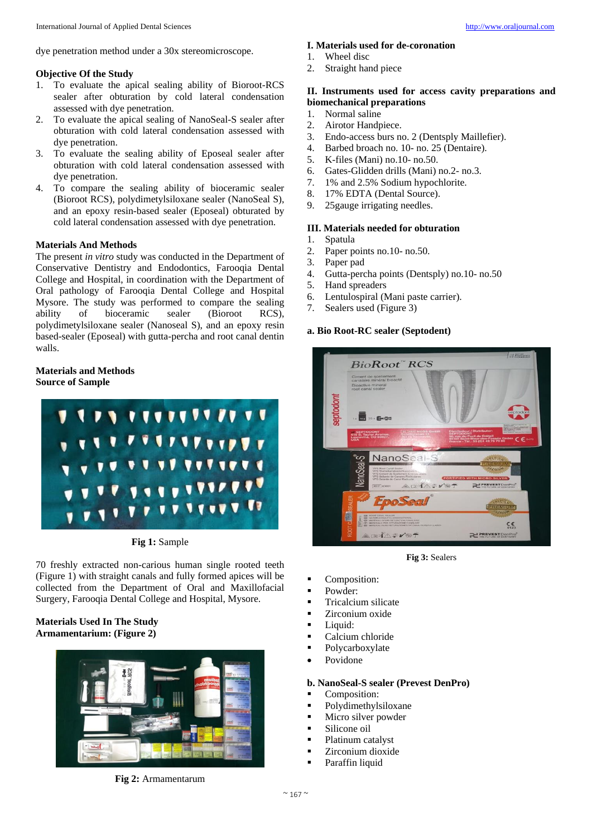dye penetration method under a 30x stereomicroscope.

### **Objective Of the Study**

- 1. To evaluate the apical sealing ability of Bioroot-RCS sealer after obturation by cold lateral condensation assessed with dye penetration.
- 2. To evaluate the apical sealing of NanoSeal-S sealer after obturation with cold lateral condensation assessed with dye penetration.
- 3. To evaluate the sealing ability of Eposeal sealer after obturation with cold lateral condensation assessed with dye penetration.
- 4. To compare the sealing ability of bioceramic sealer (Bioroot RCS), polydimetylsiloxane sealer (NanoSeal S), and an epoxy resin-based sealer (Eposeal) obturated by cold lateral condensation assessed with dye penetration.

# **Materials And Methods**

The present *in vitro* study was conducted in the Department of Conservative Dentistry and Endodontics, Farooqia Dental College and Hospital, in coordination with the Department of Oral pathology of Farooqia Dental College and Hospital Mysore. The study was performed to compare the sealing ability of bioceramic sealer (Bioroot RCS), polydimetylsiloxane sealer (Nanoseal S), and an epoxy resin based-sealer (Eposeal) with gutta-percha and root canal dentin walls.

## **Materials and Methods Source of Sample**



**Fig 1:** Sample

70 freshly extracted non-carious human single rooted teeth (Figure 1) with straight canals and fully formed apices will be collected from the Department of Oral and Maxillofacial Surgery, Farooqia Dental College and Hospital, Mysore.

# **Materials Used In The Study Armamentarium: (Figure 2)**



**Fig 2:** Armamentarum

# **I. Materials used for de-coronation**

- 1. Wheel disc
- 2. Straight hand piece

# **II. Instruments used for access cavity preparations and biomechanical preparations**

- 1. Normal saline
- 2. Airotor Handpiece.
- 3. Endo-access burs no. 2 (Dentsply Maillefier).
- 4. Barbed broach no. 10- no. 25 (Dentaire).
- 5. K-files (Mani) no.10- no.50.
- 6. Gates-Glidden drills (Mani) no.2- no.3.
- 7. 1% and 2.5% Sodium hypochlorite.
- 8. 17% EDTA (Dental Source).
- 9. 25gauge irrigating needles.

# **III. Materials needed for obturation**

- 1. Spatula
	- 2. Paper points no.10- no.50.
	- 3. Paper pad
	- 4. Gutta-percha points (Dentsply) no.10- no.50
	- 5. Hand spreaders
	- 6. Lentulospiral (Mani paste carrier).
	- 7. Sealers used (Figure 3)

# **a. Bio Root-RC sealer (Septodent)**



**Fig 3:** Sealers

- Composition:
- **•** Powder:
- Tricalcium silicate
- Zirconium oxide
- Liquid:
- Calcium chloride
- Polycarboxylate
- Povidone

## **b. NanoSeal-S sealer (Prevest DenPro)**

- Composition:
- Polydimethylsiloxane
- Micro silver powder
- Silicone oil
- Platinum catalyst
- **Exercise** Zirconium dioxide
- Paraffin liquid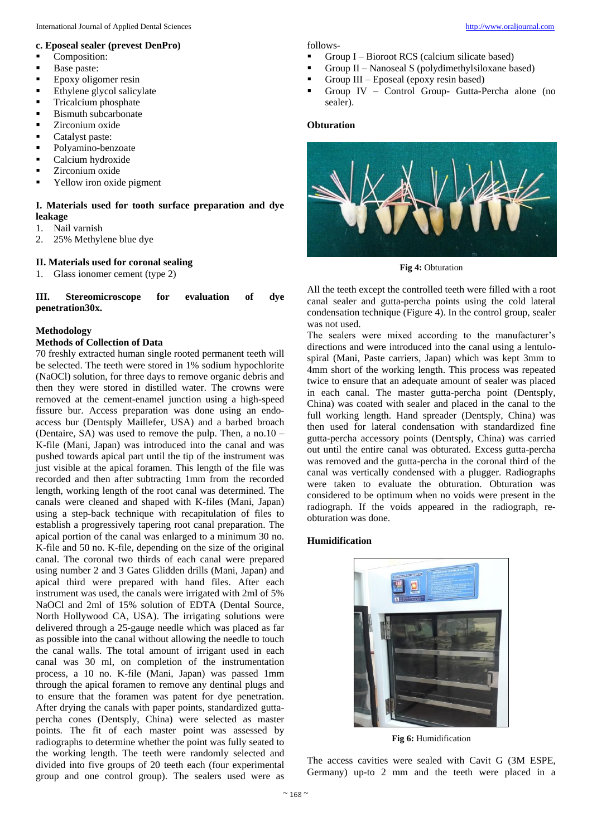# **c. Eposeal sealer (prevest DenPro)**

- Composition:
- Base paste:
- Epoxy oligomer resin
- Ethylene glycol salicylate
- Tricalcium phosphate
- **Bismuth subcarbonate**
- Zirconium oxide
- Catalyst paste:
- Polyamino-benzoate
- Calcium hydroxide
- Zirconium oxide
- Yellow iron oxide pigment

# **I. Materials used for tooth surface preparation and dye leakage**

- 1. Nail varnish
- 2. 25% Methylene blue dye

### **II. Materials used for coronal sealing**

1. Glass ionomer cement (type 2)

## **III. Stereomicroscope for evaluation of dye penetration30x.**

## **Methodology**

#### **Methods of Collection of Data**

70 freshly extracted human single rooted permanent teeth will be selected. The teeth were stored in 1% sodium hypochlorite (NaOCl) solution, for three days to remove organic debris and then they were stored in distilled water. The crowns were removed at the cement-enamel junction using a high-speed fissure bur. Access preparation was done using an endoaccess bur (Dentsply Maillefer, USA) and a barbed broach (Dentaire, SA) was used to remove the pulp. Then, a no.10 – K-file (Mani, Japan) was introduced into the canal and was pushed towards apical part until the tip of the instrument was just visible at the apical foramen. This length of the file was recorded and then after subtracting 1mm from the recorded length, working length of the root canal was determined. The canals were cleaned and shaped with K-files (Mani, Japan) using a step-back technique with recapitulation of files to establish a progressively tapering root canal preparation. The apical portion of the canal was enlarged to a minimum 30 no. K-file and 50 no. K-file, depending on the size of the original canal. The coronal two thirds of each canal were prepared using number 2 and 3 Gates Glidden drills (Mani, Japan) and apical third were prepared with hand files. After each instrument was used, the canals were irrigated with 2ml of 5% NaOCl and 2ml of 15% solution of EDTA (Dental Source, North Hollywood CA, USA). The irrigating solutions were delivered through a 25-gauge needle which was placed as far as possible into the canal without allowing the needle to touch the canal walls. The total amount of irrigant used in each canal was 30 ml, on completion of the instrumentation process, a 10 no. K-file (Mani, Japan) was passed 1mm through the apical foramen to remove any dentinal plugs and to ensure that the foramen was patent for dye penetration. After drying the canals with paper points, standardized guttapercha cones (Dentsply, China) were selected as master points. The fit of each master point was assessed by radiographs to determine whether the point was fully seated to the working length. The teeth were randomly selected and divided into five groups of 20 teeth each (four experimental group and one control group). The sealers used were as

follows-

- Group  $I Bioroot RCS$  (calcium silicate based)
- **•** Group II Nanoseal S (polydimethylsiloxane based)
- **•** Group  $III$  Eposeal (epoxy resin based)
- Group IV Control Group- Gutta-Percha alone (no sealer).

# **Obturation**



**Fig 4:** Obturation

All the teeth except the controlled teeth were filled with a root canal sealer and gutta-percha points using the cold lateral condensation technique (Figure 4). In the control group, sealer was not used.

The sealers were mixed according to the manufacturer's directions and were introduced into the canal using a lentulospiral (Mani, Paste carriers, Japan) which was kept 3mm to 4mm short of the working length. This process was repeated twice to ensure that an adequate amount of sealer was placed in each canal. The master gutta-percha point (Dentsply, China) was coated with sealer and placed in the canal to the full working length. Hand spreader (Dentsply, China) was then used for lateral condensation with standardized fine gutta-percha accessory points (Dentsply, China) was carried out until the entire canal was obturated. Excess gutta-percha was removed and the gutta-percha in the coronal third of the canal was vertically condensed with a plugger. Radiographs were taken to evaluate the obturation. Obturation was considered to be optimum when no voids were present in the radiograph. If the voids appeared in the radiograph, reobturation was done.

# **Humidification**



**Fig 6:** Humidification

The access cavities were sealed with Cavit G (3M ESPE, Germany) up-to 2 mm and the teeth were placed in a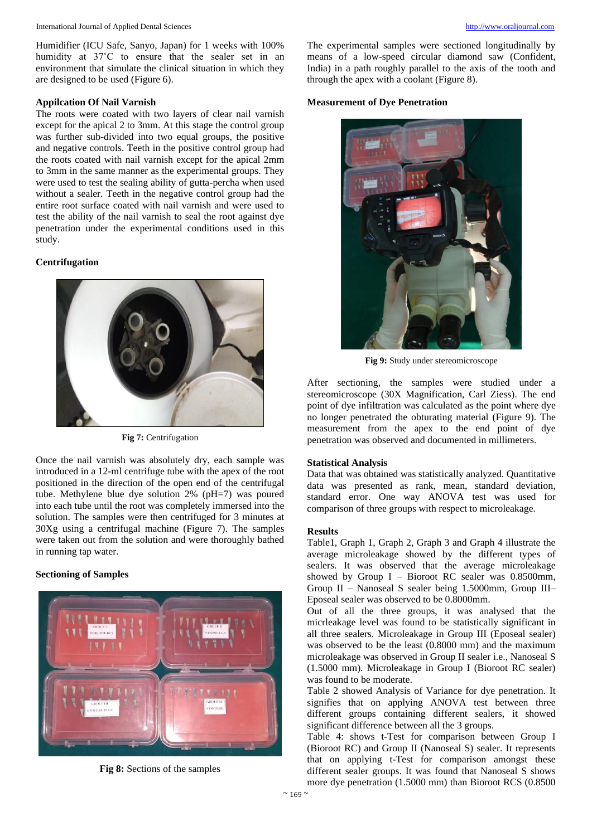Humidifier (ICU Safe, Sanyo, Japan) for 1 weeks with 100% humidity at 37˚C to ensure that the sealer set in an environment that simulate the clinical situation in which they are designed to be used (Figure 6).

## **Appilcation Of Nail Varnish**

The roots were coated with two layers of clear nail varnish except for the apical 2 to 3mm. At this stage the control group was further sub-divided into two equal groups, the positive and negative controls. Teeth in the positive control group had the roots coated with nail varnish except for the apical 2mm to 3mm in the same manner as the experimental groups. They were used to test the sealing ability of gutta-percha when used without a sealer. Teeth in the negative control group had the entire root surface coated with nail varnish and were used to test the ability of the nail varnish to seal the root against dye penetration under the experimental conditions used in this study.

## **Centrifugation**



**Fig 7:** Centrifugation

Once the nail varnish was absolutely dry, each sample was introduced in a 12-ml centrifuge tube with the apex of the root positioned in the direction of the open end of the centrifugal tube. Methylene blue dye solution 2% (pH=7) was poured into each tube until the root was completely immersed into the solution. The samples were then centrifuged for 3 minutes at 30Xg using a centrifugal machine (Figure 7). The samples were taken out from the solution and were thoroughly bathed in running tap water.

### **Sectioning of Samples**



**Fig 8:** Sections of the samples

The experimental samples were sectioned longitudinally by means of a low-speed circular diamond saw (Confident, India) in a path roughly parallel to the axis of the tooth and through the apex with a coolant (Figure 8).

#### **Measurement of Dye Penetration**



**Fig 9:** Study under stereomicroscope

After sectioning, the samples were studied under a stereomicroscope (30X Magnification, Carl Ziess). The end point of dye infiltration was calculated as the point where dye no longer penetrated the obturating material (Figure 9). The measurement from the apex to the end point of dye penetration was observed and documented in millimeters.

## **Statistical Analysis**

Data that was obtained was statistically analyzed. Quantitative data was presented as rank, mean, standard deviation, standard error. One way ANOVA test was used for comparison of three groups with respect to microleakage.

#### **Results**

Table1, Graph 1, Graph 2, Graph 3 and Graph 4 illustrate the average microleakage showed by the different types of sealers. It was observed that the average microleakage showed by Group I – Bioroot RC sealer was  $0.8500$ mm, Group II – Nanoseal S sealer being 1.5000mm, Group III– Eposeal sealer was observed to be 0.8000mm.

Out of all the three groups, it was analysed that the micrleakage level was found to be statistically significant in all three sealers. Microleakage in Group III (Eposeal sealer) was observed to be the least (0.8000 mm) and the maximum microleakage was observed in Group II sealer i.e., Nanoseal S (1.5000 mm). Microleakage in Group I (Bioroot RC sealer) was found to be moderate.

Table 2 showed Analysis of Variance for dye penetration. It signifies that on applying ANOVA test between three different groups containing different sealers, it showed significant difference between all the 3 groups.

Table 4: shows t-Test for comparison between Group I (Bioroot RC) and Group II (Nanoseal S) sealer. It represents that on applying t-Test for comparison amongst these different sealer groups. It was found that Nanoseal S shows more dye penetration (1.5000 mm) than Bioroot RCS (0.8500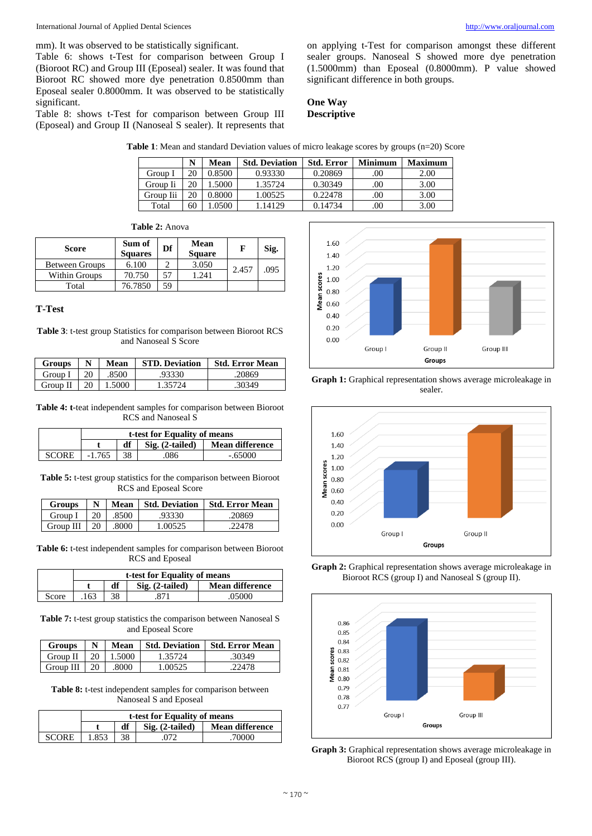mm). It was observed to be statistically significant.

Table 6: shows t-Test for comparison between Group I (Bioroot RC) and Group III (Eposeal) sealer. It was found that Bioroot RC showed more dye penetration 0.8500mm than Eposeal sealer 0.8000mm. It was observed to be statistically significant.

Table 8: shows t-Test for comparison between Group III (Eposeal) and Group II (Nanoseal S sealer). It represents that on applying t-Test for comparison amongst these different sealer groups. Nanoseal S showed more dye penetration (1.5000mm) than Eposeal (0.8000mm). P value showed significant difference in both groups.

# **One Way Descriptive**

|           | N  | Mean   | <b>Std. Deviation</b> | <b>Std. Error</b> | <b>Minimum</b> | <b>Maximum</b> |
|-----------|----|--------|-----------------------|-------------------|----------------|----------------|
| Group I   | 20 | 0.8500 | 0.93330               | 0.20869           | .00            | 2.00           |
| Group Ii  | 20 | .5000  | 1.35724               | 0.30349           | .00            | 3.00           |
| Group Iii | 20 | 0.8000 | .00525                | 0.22478           | .00            | 3.00           |
| Total     | 60 | 0500   | 14129                 | 0.14734           | .00            | 3.00           |

**Table 2:** Anova

| Score                 | Sum of<br><b>Squares</b> | Df | <b>Mean</b><br><b>Square</b> | F     | Sig. |
|-----------------------|--------------------------|----|------------------------------|-------|------|
| <b>Between Groups</b> | 6.100                    |    | 3.050                        | 2.457 | .095 |
| Within Groups         | 70.750                   | 57 | 1.241                        |       |      |
| Total                 | 76.7850                  | 59 |                              |       |      |

# **T-Test**

**Table 3**: t-test group Statistics for comparison between Bioroot RCS and Nanoseal S Score

| <b>Groups</b> | N   | Mean   | <b>STD. Deviation</b> | <b>Std. Error Mean</b> |
|---------------|-----|--------|-----------------------|------------------------|
| Group I       |     | .8500  | .93330                | .20869                 |
| Group $II$    | -20 | 1.5000 | 1.35724               | .30349                 |

**Table 4: t**-teat independent samples for comparison between Bioroot RCS and Nanoseal S

| t-test for Equality of means |    |                   |                        |  |  |
|------------------------------|----|-------------------|------------------------|--|--|
|                              | df | $Sig. (2-tailed)$ | <b>Mean difference</b> |  |  |
| $-1.765$                     |    | 086               | $-.65000$              |  |  |

**Table 5:** t-test group statistics for the comparison between Bioroot RCS and Eposeal Score

| <b>Groups</b> | N  | Mean  | <b>Std. Deviation</b> | <b>Std. Error Mean</b> |
|---------------|----|-------|-----------------------|------------------------|
| Group I       | 20 | .8500 | .93330                | .20869                 |
| Group III     | 20 | 8000  | 0.00525               | 22478                  |

**Table 6:** t-test independent samples for comparison between Bioroot RCS and Eposeal

|       | t-test for Equality of means |    |                   |                        |  |  |  |  |
|-------|------------------------------|----|-------------------|------------------------|--|--|--|--|
|       |                              |    | $Sig. (2-tailed)$ | <b>Mean difference</b> |  |  |  |  |
| Score | 163                          | 38 |                   | .05000                 |  |  |  |  |

**Table 7:** t-test group statistics the comparison between Nanoseal S and Eposeal Score

| <b>Groups</b>       | N      | Mean   |         | Std. Deviation   Std. Error Mean |
|---------------------|--------|--------|---------|----------------------------------|
| Group II            | $-201$ | 1.5000 | 1.35724 | .30349                           |
| Group III $\mid$ 20 |        | .8000  | 1.00525 | 22478                            |

**Table 8:** t-test independent samples for comparison between Nanoseal S and Eposeal

|       | t-test for Equality of means |    |                   |                        |  |
|-------|------------------------------|----|-------------------|------------------------|--|
|       |                              |    | $Sig. (2-tailed)$ | <b>Mean difference</b> |  |
| SCORE | 1.853                        | 38 |                   | 70000                  |  |



**Graph 1:** Graphical representation shows average microleakage in sealer.



**Graph 2:** Graphical representation shows average microleakage in Bioroot RCS (group I) and Nanoseal S (group II).



**Graph 3:** Graphical representation shows average microleakage in Bioroot RCS (group I) and Eposeal (group III).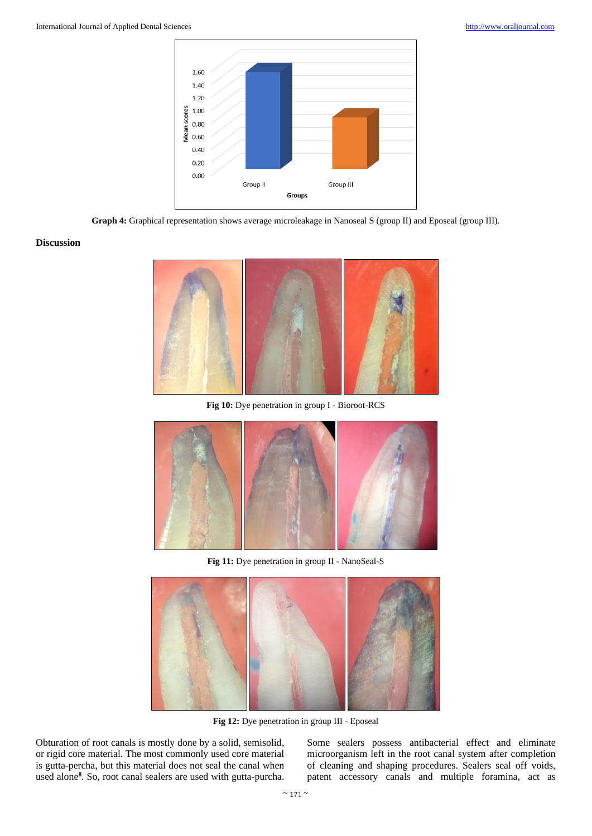

**Graph 4:** Graphical representation shows average microleakage in Nanoseal S (group II) and Eposeal (group III).

#### **Discussion**



**Fig 10:** Dye penetration in group I - Bioroot-RCS



Fig 11: Dye penetration in group II - NanoSeal-S



**Fig 12:** Dye penetration in group III - Eposeal

Obturation of root canals is mostly done by a solid, semisolid, or rigid core material. The most commonly used core material is gutta-percha, but this material does not seal the canal when used alone**<sup>8</sup>** . So, root canal sealers are used with gutta-purcha. Some sealers possess antibacterial effect and eliminate microorganism left in the root canal system after completion of cleaning and shaping procedures. Sealers seal off voids, patent accessory canals and multiple foramina, act as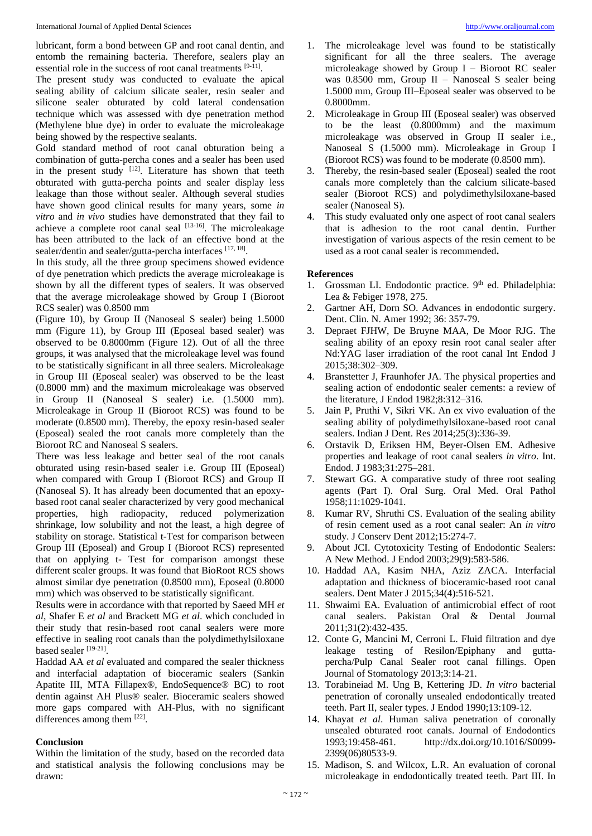lubricant, form a bond between GP and root canal dentin, and entomb the remaining bacteria. Therefore, sealers play an essential role in the success of root canal treatments [9-11].

The present study was conducted to evaluate the apical sealing ability of calcium silicate sealer, resin sealer and silicone sealer obturated by cold lateral condensation technique which was assessed with dye penetration method (Methylene blue dye) in order to evaluate the microleakage being showed by the respective sealants.

Gold standard method of root canal obturation being a combination of gutta-percha cones and a sealer has been used in the present study  $[12]$ . Literature has shown that teeth obturated with gutta-percha points and sealer display less leakage than those without sealer. Although several studies have shown good clinical results for many years, some *in vitro* and *in vivo* studies have demonstrated that they fail to achieve a complete root canal seal  $[13-16]$ . The microleakage has been attributed to the lack of an effective bond at the sealer/dentin and sealer/gutta-percha interfaces [17, 18].

In this study, all the three group specimens showed evidence of dye penetration which predicts the average microleakage is shown by all the different types of sealers. It was observed that the average microleakage showed by Group I (Bioroot RCS sealer) was 0.8500 mm

(Figure 10), by Group II (Nanoseal S sealer) being 1.5000 mm (Figure 11), by Group III (Eposeal based sealer) was observed to be 0.8000mm (Figure 12). Out of all the three groups, it was analysed that the microleakage level was found to be statistically significant in all three sealers. Microleakage in Group III (Eposeal sealer) was observed to be the least (0.8000 mm) and the maximum microleakage was observed in Group II (Nanoseal S sealer) i.e. (1.5000 mm). Microleakage in Group II (Bioroot RCS) was found to be moderate (0.8500 mm). Thereby, the epoxy resin-based sealer (Eposeal) sealed the root canals more completely than the Bioroot RC and Nanoseal S sealers.

There was less leakage and better seal of the root canals obturated using resin-based sealer i.e. Group III (Eposeal) when compared with Group I (Bioroot RCS) and Group II (Nanoseal S). It has already been documented that an epoxybased root canal sealer characterized by very good mechanical properties, high radiopacity, reduced polymerization shrinkage, low solubility and not the least, a high degree of stability on storage. Statistical t-Test for comparison between Group III (Eposeal) and Group I (Bioroot RCS) represented that on applying t- Test for comparison amongst these different sealer groups. It was found that BioRoot RCS shows almost similar dye penetration (0.8500 mm), Eposeal (0.8000 mm) which was observed to be statistically significant.

Results were in accordance with that reported by Saeed MH *et al*, Shafer E *et al* and Brackett MG *et al*. which concluded in their study that resin-based root canal sealers were more effective in sealing root canals than the polydimethylsiloxane based sealer [19-21].

Haddad AA *et al* evaluated and compared the sealer thickness and interfacial adaptation of bioceramic sealers (Sankin Apatite III, MTA Fillapex®, EndoSequence® BC) to root dentin against AH Plus® sealer. Bioceramic sealers showed more gaps compared with AH-Plus, with no significant differences among them [22].

#### **Conclusion**

Within the limitation of the study, based on the recorded data and statistical analysis the following conclusions may be drawn:

- 1. The microleakage level was found to be statistically significant for all the three sealers. The average microleakage showed by Group I – Bioroot RC sealer was 0.8500 mm, Group II – Nanoseal S sealer being 1.5000 mm, Group III–Eposeal sealer was observed to be 0.8000mm.
- 2. Microleakage in Group III (Eposeal sealer) was observed to be the least (0.8000mm) and the maximum microleakage was observed in Group II sealer i.e., Nanoseal S (1.5000 mm). Microleakage in Group I (Bioroot RCS) was found to be moderate (0.8500 mm).
- 3. Thereby, the resin-based sealer (Eposeal) sealed the root canals more completely than the calcium silicate-based sealer (Bioroot RCS) and polydimethylsiloxane-based sealer (Nanoseal S).
- 4. This study evaluated only one aspect of root canal sealers that is adhesion to the root canal dentin. Further investigation of various aspects of the resin cement to be used as a root canal sealer is recommended**.**

### **References**

- 1. Grossman LI. Endodontic practice.  $9<sup>th</sup>$  ed. Philadelphia: Lea & Febiger 1978, 275.
- 2. Gartner AH, Dorn SO. Advances in endodontic surgery. Dent. Clin. N. Amer 1992; 36: 357-79.
- 3. Depraet FJHW, De Bruyne MAA, De Moor RJG. The sealing ability of an epoxy resin root canal sealer after Nd:YAG laser irradiation of the root canal Int Endod J 2015;38:302–309.
- 4. Branstetter J, Fraunhofer JA. The physical properties and sealing action of endodontic sealer cements: a review of the literature, J Endod 1982;8:312–316.
- 5. Jain P, Pruthi V, Sikri VK. An ex vivo evaluation of the sealing ability of polydimethylsiloxane-based root canal sealers. Indian J Dent. Res 2014;25(3):336-39.
- 6. Orstavik D, Eriksen HM, Beyer-Olsen EM. Adhesive properties and leakage of root canal sealers *in vitro*. Int. Endod. J 1983;31:275–281.
- 7. Stewart GG. A comparative study of three root sealing agents (Part I). Oral Surg. Oral Med. Oral Pathol 1958;11:1029-1041.
- 8. Kumar RV, Shruthi CS. Evaluation of the sealing ability of resin cement used as a root canal sealer: An *in vitro* study. J Conserv Dent 2012;15:274-7.
- 9. About JCI. Cytotoxicity Testing of Endodontic Sealers: A New Method. J Endod 2003;29(9):583-586.
- 10. Haddad AA, Kasim NHA, Aziz ZACA. Interfacial adaptation and thickness of bioceramic-based root canal sealers. Dent Mater J 2015;34(4):516-521*.*
- 11. Shwaimi EA. Evaluation of antimicrobial effect of root canal sealers. Pakistan Oral & Dental Journal 2011;31(2):432-435.
- 12. Conte G, Mancini M, Cerroni L. Fluid filtration and dye leakage testing of Resilon/Epiphany and guttapercha/Pulp Canal Sealer root canal fillings. Open Journal of Stomatology 2013;3:14-21.
- 13. Torabineiad M. Ung B, Kettering JD. *In vitro* bacterial penetration of coronally unsealed endodontically treated teeth. Part II, sealer types. J Endod 1990;13:109-12.
- 14. Khayat *et al*. Human saliva penetration of coronally unsealed obturated root canals. Journal of Endodontics 1993;19:458-461. http://dx.doi.org/10.1016/S0099- 2399(06)80533-9.
- 15. Madison, S. and Wilcox, L.R. An evaluation of coronal microleakage in endodontically treated teeth. Part III. In